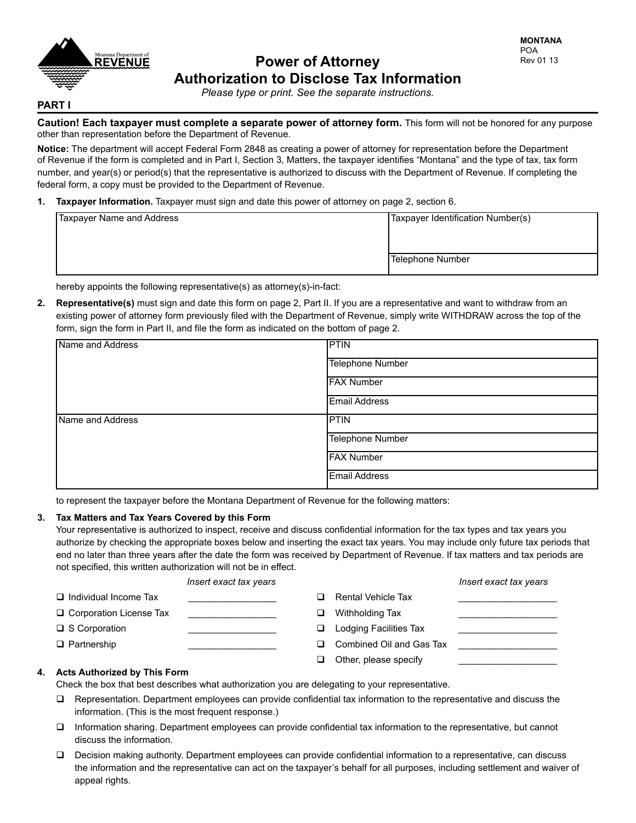

# **Power of Attorney Authorization to Disclose Tax Information**

*Please type or print. See the separate instructions.*

# **PART I**

**Caution! Each taxpayer must complete a separate power of attorney form.** This form will not be honored for any purpose other than representation before the Department of Revenue.

**Notice:** The department will accept Federal Form 2848 as creating a power of attorney for representation before the Department of Revenue if the form is completed and in Part I, Section 3, Matters, the taxpayer identifies "Montana" and the type of tax, tax form number, and year(s) or period(s) that the representative is authorized to discuss with the Department of Revenue. If completing the federal form, a copy must be provided to the Department of Revenue.

**1. Taxpayer Information.** Taxpayer must sign and date this power of attorney on page 2, section 6.

| Taxpayer Name and Address | Taxpayer Identification Number(s) |  |
|---------------------------|-----------------------------------|--|
|                           |                                   |  |
|                           | Telephone Number                  |  |

hereby appoints the following representative(s) as attorney(s)-in-fact:

**2. Representative(s)** must sign and date this form on page 2, Part II. If you are a representative and want to withdraw from an existing power of attorney form previously filed with the Department of Revenue, simply write WITHDRAW across the top of the form, sign the form in Part II, and file the form as indicated on the bottom of page 2.

| Name and Address | PTIN                 |  |  |
|------------------|----------------------|--|--|
|                  | Telephone Number     |  |  |
|                  | <b>FAX Number</b>    |  |  |
|                  | <b>Email Address</b> |  |  |
| Name and Address | <b>PTIN</b>          |  |  |
|                  | Telephone Number     |  |  |
|                  | <b>FAX Number</b>    |  |  |
|                  | <b>Email Address</b> |  |  |

to represent the taxpayer before the Montana Department of Revenue for the following matters:

## **3. Tax Matters and Tax Years Covered by this Form**

Your representative is authorized to inspect, receive and discuss confidential information for the tax types and tax years you authorize by checking the appropriate boxes below and inserting the exact tax years. You may include only future tax periods that end no later than three years after the date the form was received by Department of Revenue. If tax matters and tax periods are not specified, this written authorization will not be in effect.

|                                     | Insert exact tax years |   |                               | Insert exact tax years |
|-------------------------------------|------------------------|---|-------------------------------|------------------------|
| $\Box$ Individual Income Tax        |                        |   | <b>Rental Vehicle Tax</b>     |                        |
| $\Box$ Corporation License Tax      |                        | ப | Withholding Tax               |                        |
| $\Box$ S Corporation                |                        | ◻ | <b>Lodging Facilities Tax</b> |                        |
| $\Box$ Partnership                  |                        | □ | Combined Oil and Gas Tax      |                        |
|                                     |                        |   | Other, please specify         |                        |
| <b>Acts Authorized by This Form</b> |                        |   |                               |                        |

**4. Acts Authorized by This Form**

Check the box that best describes what authorization you are delegating to your representative.

- $\Box$  Representation. Department employees can provide confidential tax information to the representative and discuss the information. (This is the most frequent response.)
- $\Box$  Information sharing. Department employees can provide confidential tax information to the representative, but cannot discuss the information.
- q Decision making authority. Department employees can provide confidential information to a representative, can discuss the information and the representative can act on the taxpayer's behalf for all purposes, including settlement and waiver of appeal rights.